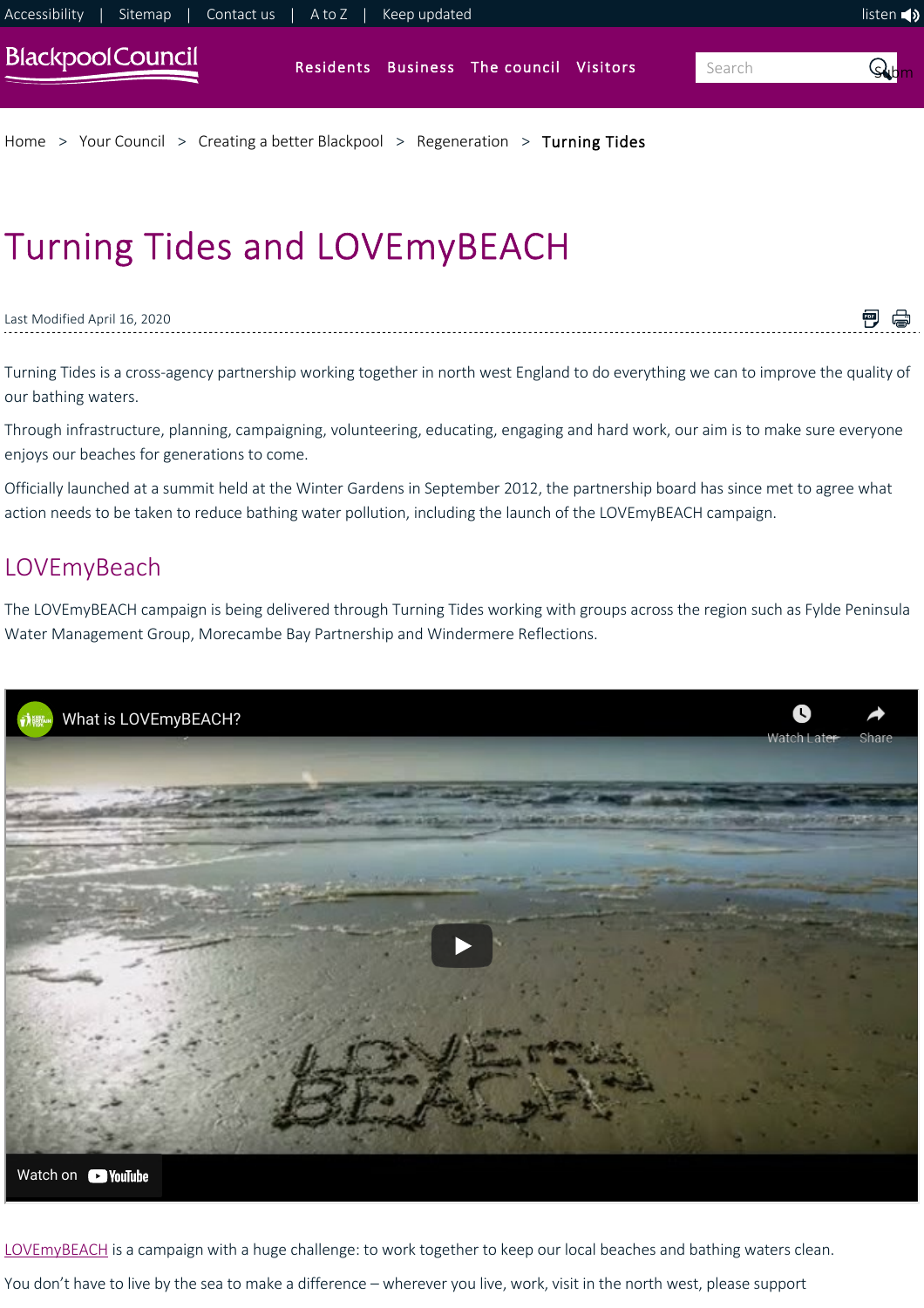

[Home](https://www.blackpool.gov.uk/Home.aspx) > [Your Council](https://www.blackpool.gov.uk/Your-Council/Your-Council.aspx) > [Creating a better Blackpool](https://www.blackpool.gov.uk/Your-Council/Creating-a-better-Blackpool/Creating-a-better-Blackpool.aspx) > [Regeneration](https://www.blackpool.gov.uk/Your-Council/Creating-a-better-Blackpool/Regeneration/Regeneration.aspx) > [Turning Tides](https://www.blackpool.gov.uk/Your-Council/Creating-a-better-Blackpool/Regeneration/Coastal-and-water-improvements/Turning-Tides.aspx)

# Turning Tides and LOVEmyBEACH

Last Modified April 16, 2020

Turning Tides is a cross‐agency partnership working together in north west England to do everything we can to improve the quality of our bathing waters.

■ ●

Through infrastructure, planning, campaigning, volunteering, educating, engaging and hard work, our aim is to make sure everyone enjoys our beaches for generations to come.

Officially launched at a summit held at the Winter Gardens in September 2012, the partnership board has since met to agree what action needs to be taken to reduce bathing water pollution, including the launch of the LOVEmyBEACH campaign.

## **LOVEmyBeach**

The LOVEmyBEACH campaign is being delivered through Turning Tides working with groups across the region such as Fylde Peninsula Water Management Group, Morecambe Bay Partnership and Windermere Reflections.



[LOVEmyBEACH](http://www.lovemybeach.org) is a campaign with a huge challenge: to work together to keep our local beaches and bathing waters clean. You don't have to live by the sea to make a difference – wherever you live, work, visit in the north west, please support